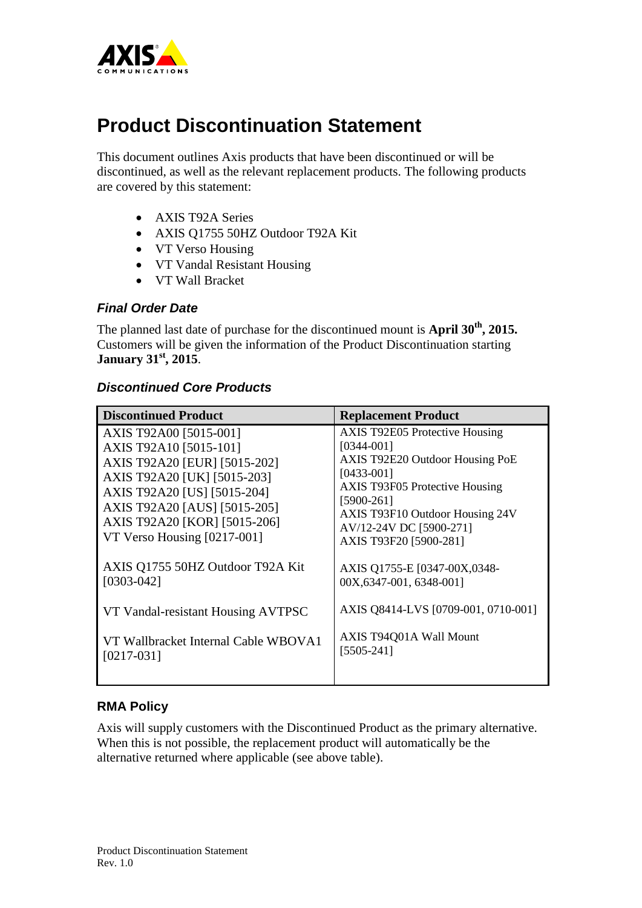

# **Product Discontinuation Statement**

This document outlines Axis products that have been discontinued or will be discontinued, as well as the relevant replacement products. The following products are covered by this statement:

- AXIS T92A Series
- AXIS Q1755 50HZ Outdoor T92A Kit
- VT Verso Housing
- VT Vandal Resistant Housing
- VT Wall Bracket

#### *Final Order Date*

The planned last date of purchase for the discontinued mount is **April 30th, 2015.** Customers will be given the information of the Product Discontinuation starting **January 31st, 2015**.

### *Discontinued Core Products*

| <b>Discontinued Product</b>                                                                                                                                                                                                                   | <b>Replacement Product</b>                                                                                                                                                                                                                                  |
|-----------------------------------------------------------------------------------------------------------------------------------------------------------------------------------------------------------------------------------------------|-------------------------------------------------------------------------------------------------------------------------------------------------------------------------------------------------------------------------------------------------------------|
| AXIS T92A00 [5015-001]<br>AXIS T92A10 [5015-101]<br>AXIS T92A20 [EUR] [5015-202]<br>AXIS T92A20 [UK] [5015-203]<br>AXIS T92A20 [US] [5015-204]<br>AXIS T92A20 [AUS] [5015-205]<br>AXIS T92A20 [KOR] [5015-206]<br>VT Verso Housing [0217-001] | <b>AXIS T92E05 Protective Housing</b><br>$[0344 - 001]$<br>AXIS T92E20 Outdoor Housing PoE<br>$[0433-001]$<br><b>AXIS T93F05 Protective Housing</b><br>$[5900-261]$<br>AXIS T93F10 Outdoor Housing 24V<br>AV/12-24V DC [5900-271]<br>AXIS T93F20 [5900-281] |
| AXIS Q1755 50HZ Outdoor T92A Kit<br>$[0303 - 042]$                                                                                                                                                                                            | AXIS Q1755-E [0347-00X,0348-<br>00X, 6347-001, 6348-001]                                                                                                                                                                                                    |
| VT Vandal-resistant Housing AVTPSC                                                                                                                                                                                                            | AXIS Q8414-LVS [0709-001, 0710-001]                                                                                                                                                                                                                         |
| VT Wallbracket Internal Cable WBOVA1<br>$[0217-031]$                                                                                                                                                                                          | AXIS T94Q01A Wall Mount<br>$[5505-241]$                                                                                                                                                                                                                     |

### **RMA Policy**

Axis will supply customers with the Discontinued Product as the primary alternative. When this is not possible, the replacement product will automatically be the alternative returned where applicable (see above table).